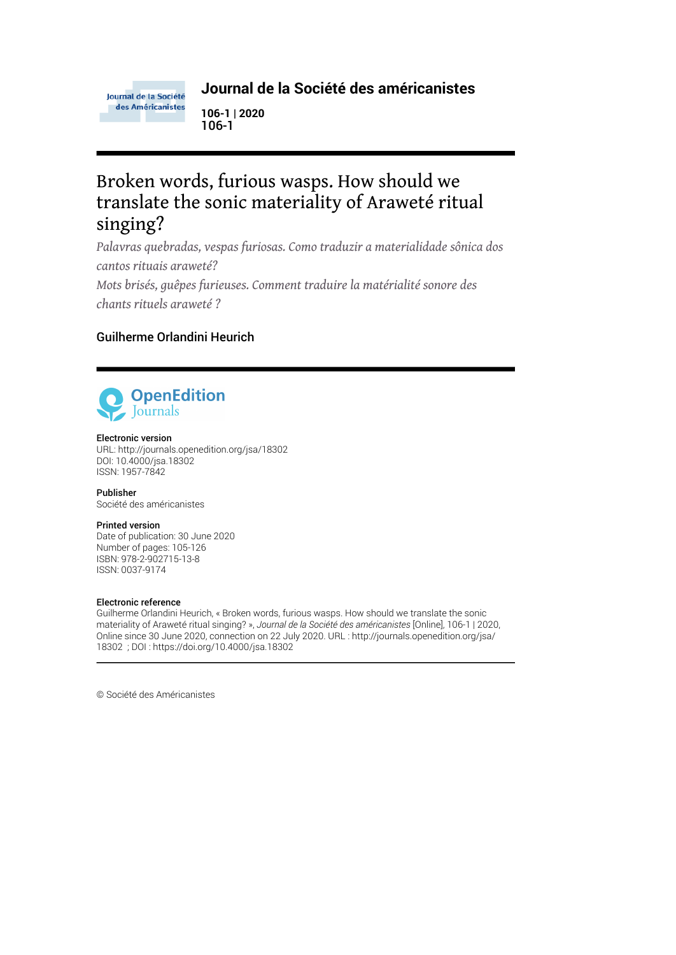

### **Journal de la Société des américanistes**

**106-1 | 2020** 106-1

# Broken words, furious wasps. How should we translate the sonic materiality of Araweté ritual singing?

*Palavras quebradas, vespas furiosas. Como traduzir a materialidade sônica dos cantos rituais araweté?*

*Mots brisés, guêpes furieuses. Comment traduire la matérialité sonore des chants rituels araweté ?*

## Guilherme Orlandini Heurich



#### Electronic version

URL:<http://journals.openedition.org/jsa/18302> DOI: 10.4000/jsa.18302 ISSN: 1957-7842

Publisher Société des américanistes

#### Printed version

Date of publication: 30 June 2020 Number of pages: 105-126 ISBN: 978-2-902715-13-8 ISSN: 0037-9174

#### Electronic reference

Guilherme Orlandini Heurich, « Broken words, furious wasps. How should we translate the sonic materiality of Araweté ritual singing? », *Journal de la Société des américanistes* [Online], 106-1 | 2020, Online since 30 June 2020, connection on 22 July 2020. URL : http://journals.openedition.org/jsa/ 18302 ; DOI : https://doi.org/10.4000/jsa.18302

© Société des Américanistes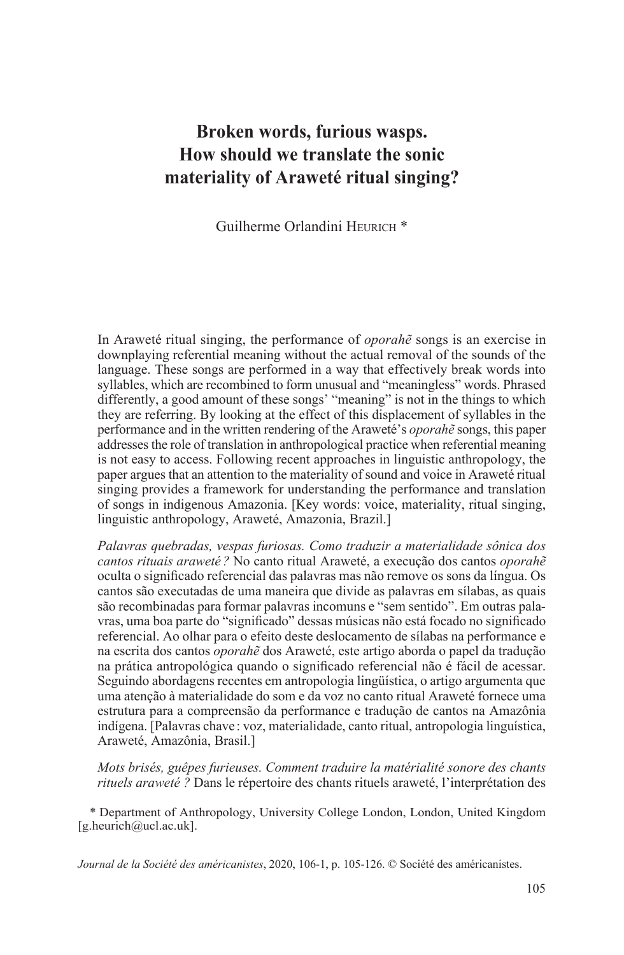# **Broken words, furious wasps. How should we translate the sonic materiality of Araweté ritual singing?**

Guilherme Orlandini HEURICH<sup>\*</sup>

In Araweté ritual singing, the performance of *oporahẽ* songs is an exercise in downplaying referential meaning without the actual removal of the sounds of the language. These songs are performed in a way that effectively break words into syllables, which are recombined to form unusual and "meaningless" words. Phrased differently, a good amount of these songs' "meaning" is not in the things to which they are referring. By looking at the effect of this displacement of syllables in the performance and in the written rendering of the Araweté's *oporahẽ* songs, this paper addresses the role of translation in anthropological practice when referential meaning is not easy to access. Following recent approaches in linguistic anthropology, the paper argues that an attention to the materiality of sound and voice in Araweté ritual singing provides a framework for understanding the performance and translation of songs in indigenous Amazonia. [Key words: voice, materiality, ritual singing, linguistic anthropology, Araweté, Amazonia, Brazil.]

*Palavras quebradas, vespas furiosas. Como traduzir a materialidade sônica dos cantos rituais araweté ?* No canto ritual Araweté, a execução dos cantos *oporahẽ* oculta o significado referencial das palavras mas não remove os sons da língua. Os cantos são executadas de uma maneira que divide as palavras em sílabas, as quais são recombinadas para formar palavras incomuns e "sem sentido". Em outras palavras, uma boa parte do "significado" dessas músicas não está focado no significado referencial. Ao olhar para o efeito deste deslocamento de sílabas na performance e na escrita dos cantos *oporahẽ* dos Araweté, este artigo aborda o papel da tradução na prática antropológica quando o significado referencial não é fácil de acessar. Seguindo abordagens recentes em antropologia lingüística, o artigo argumenta que uma atenção à materialidade do som e da voz no canto ritual Araweté fornece uma estrutura para a compreensão da performance e tradução de cantos na Amazônia indígena. [Palavras chave : voz, materialidade, canto ritual, antropologia linguística, Araweté, Amazônia, Brasil.]

*Mots brisés, guêpes furieuses. Comment traduire la matérialité sonore des chants rituels araweté ?* Dans le répertoire des chants rituels araweté, l'interprétation des

\* Department of Anthropology, University College London, London, United Kingdom [g.heurich@ucl.ac.uk].

*Journal de la Société des américanistes*, 2020, 106-1, p. 105-126. © Société des américanistes.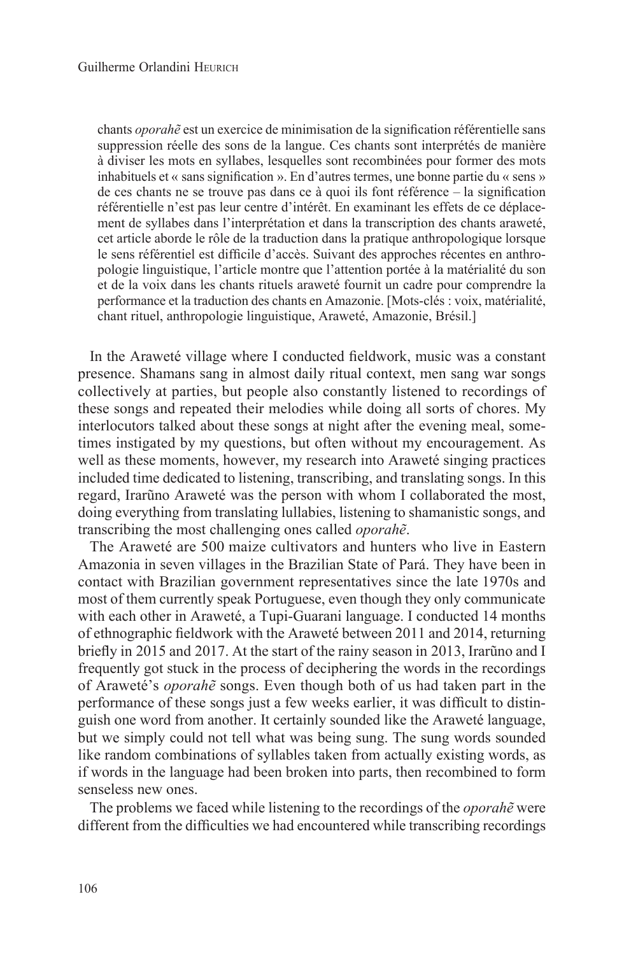chants *oporahẽ* est un exercice de minimisation de la signification référentielle sans suppression réelle des sons de la langue. Ces chants sont interprétés de manière à diviser les mots en syllabes, lesquelles sont recombinées pour former des mots inhabituels et « sans signification ». En d'autres termes, une bonne partie du « sens » de ces chants ne se trouve pas dans ce à quoi ils font référence – la signification référentielle n'est pas leur centre d'intérêt. En examinant les effets de ce déplacement de syllabes dans l'interprétation et dans la transcription des chants araweté, cet article aborde le rôle de la traduction dans la pratique anthropologique lorsque le sens référentiel est difficile d'accès. Suivant des approches récentes en anthropologie linguistique, l'article montre que l'attention portée à la matérialité du son et de la voix dans les chants rituels araweté fournit un cadre pour comprendre la performance et la traduction des chants en Amazonie. [Mots-clés : voix, matérialité, chant rituel, anthropologie linguistique, Araweté, Amazonie, Brésil.]

In the Araweté village where I conducted fieldwork, music was a constant presence. Shamans sang in almost daily ritual context, men sang war songs collectively at parties, but people also constantly listened to recordings of these songs and repeated their melodies while doing all sorts of chores. My interlocutors talked about these songs at night after the evening meal, sometimes instigated by my questions, but often without my encouragement. As well as these moments, however, my research into Araweté singing practices included time dedicated to listening, transcribing, and translating songs. In this regard, Irarũno Araweté was the person with whom I collaborated the most, doing everything from translating lullabies, listening to shamanistic songs, and transcribing the most challenging ones called *oporahẽ*.

The Araweté are 500 maize cultivators and hunters who live in Eastern Amazonia in seven villages in the Brazilian State of Pará. They have been in contact with Brazilian government representatives since the late 1970s and most of them currently speak Portuguese, even though they only communicate with each other in Araweté, a Tupi-Guarani language. I conducted 14 months of ethnographic fieldwork with the Araweté between 2011 and 2014, returning briefly in 2015 and 2017. At the start of the rainy season in 2013, Irarũno and I frequently got stuck in the process of deciphering the words in the recordings of Araweté's *oporahẽ* songs. Even though both of us had taken part in the performance of these songs just a few weeks earlier, it was difficult to distinguish one word from another. It certainly sounded like the Araweté language, but we simply could not tell what was being sung. The sung words sounded like random combinations of syllables taken from actually existing words, as if words in the language had been broken into parts, then recombined to form senseless new ones.

The problems we faced while listening to the recordings of the *oporahẽ* were different from the difficulties we had encountered while transcribing recordings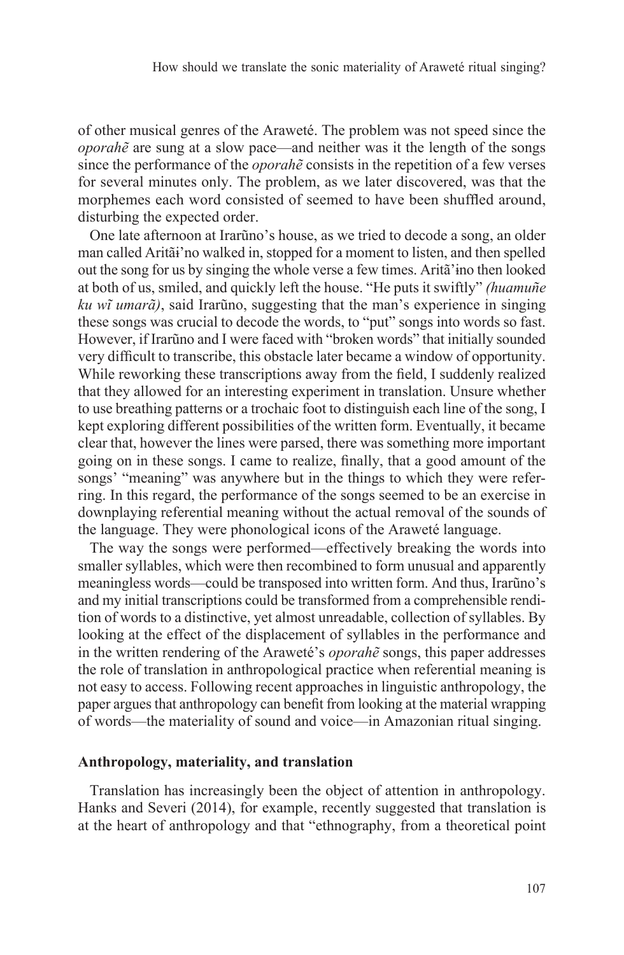of other musical genres of the Araweté. The problem was not speed since the *oporahẽ* are sung at a slow pace—and neither was it the length of the songs since the performance of the *oporahẽ* consists in the repetition of a few verses for several minutes only. The problem, as we later discovered, was that the morphemes each word consisted of seemed to have been shuffled around, disturbing the expected order.

One late afternoon at Irarũno's house, as we tried to decode a song, an older man called Aritãɨ'no walked in, stopped for a moment to listen, and then spelled out the song for us by singing the whole verse a few times. Aritã'ɨno then looked at both of us, smiled, and quickly left the house. "He puts it swiftly" *(huamuñe ku wĩ umarã)*, said Irarũno, suggesting that the man's experience in singing these songs was crucial to decode the words, to "put" songs into words so fast. However, if Irarũno and I were faced with "broken words" that initially sounded very difficult to transcribe, this obstacle later became a window of opportunity. While reworking these transcriptions away from the field, I suddenly realized that they allowed for an interesting experiment in translation. Unsure whether to use breathing patterns or a trochaic foot to distinguish each line of the song, I kept exploring different possibilities of the written form. Eventually, it became clear that, however the lines were parsed, there was something more important going on in these songs. I came to realize, finally, that a good amount of the songs' "meaning" was anywhere but in the things to which they were referring. In this regard, the performance of the songs seemed to be an exercise in downplaying referential meaning without the actual removal of the sounds of the language. They were phonological icons of the Araweté language.

The way the songs were performed—effectively breaking the words into smaller syllables, which were then recombined to form unusual and apparently meaningless words—could be transposed into written form. And thus, Irarũno's and my initial transcriptions could be transformed from a comprehensible rendition of words to a distinctive, yet almost unreadable, collection of syllables. By looking at the effect of the displacement of syllables in the performance and in the written rendering of the Araweté's *oporahẽ* songs, this paper addresses the role of translation in anthropological practice when referential meaning is not easy to access. Following recent approaches in linguistic anthropology, the paper argues that anthropology can benefit from looking at the material wrapping of words—the materiality of sound and voice—in Amazonian ritual singing.

#### **Anthropology, materiality, and translation**

Translation has increasingly been the object of attention in anthropology. Hanks and Severi (2014), for example, recently suggested that translation is at the heart of anthropology and that "ethnography, from a theoretical point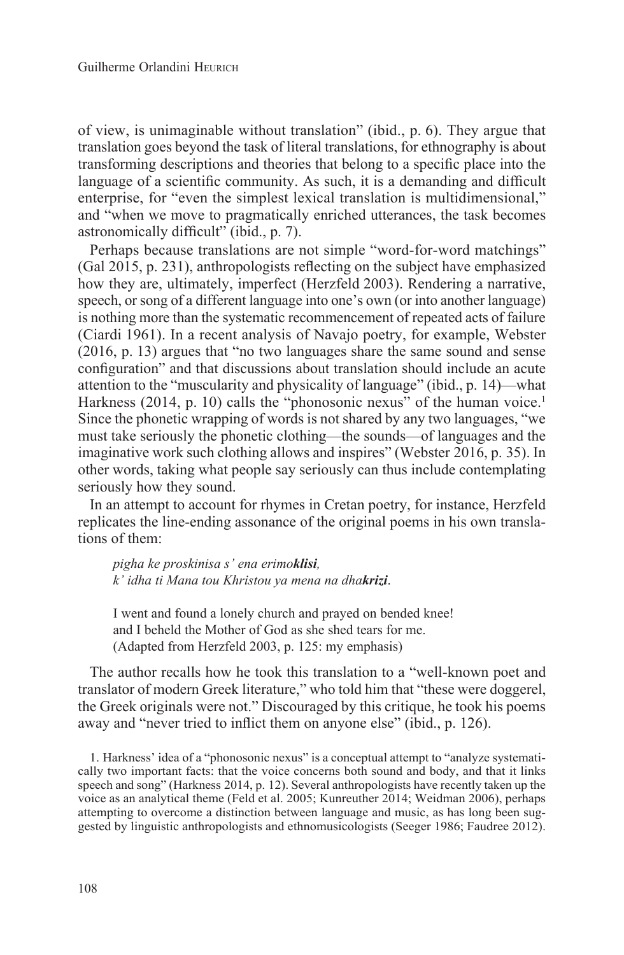of view, is unimaginable without translation" (ibid., p. 6). They argue that translation goes beyond the task of literal translations, for ethnography is about transforming descriptions and theories that belong to a specific place into the language of a scientific community. As such, it is a demanding and difficult enterprise, for "even the simplest lexical translation is multidimensional," and "when we move to pragmatically enriched utterances, the task becomes astronomically difficult" (ibid., p. 7).

Perhaps because translations are not simple "word-for-word matchings" (Gal 2015, p. 231), anthropologists reflecting on the subject have emphasized how they are, ultimately, imperfect (Herzfeld 2003). Rendering a narrative, speech, or song of a different language into one's own (or into another language) is nothing more than the systematic recommencement of repeated acts of failure (Ciardi 1961). In a recent analysis of Navajo poetry, for example, Webster (2016, p. 13) argues that "no two languages share the same sound and sense configuration" and that discussions about translation should include an acute attention to the "muscularity and physicality of language" (ibid., p. 14)—what Harkness (2014, p. 10) calls the "phonosonic nexus" of the human voice.<sup>1</sup> Since the phonetic wrapping of words is not shared by any two languages, "we must take seriously the phonetic clothing—the sounds—of languages and the imaginative work such clothing allows and inspires" (Webster 2016, p. 35). In other words, taking what people say seriously can thus include contemplating seriously how they sound.

In an attempt to account for rhymes in Cretan poetry, for instance, Herzfeld replicates the line-ending assonance of the original poems in his own translations of them:

*pigha ke proskinisa s' ena erimoklisi, k' idha ti Mana tou Khristou ya mena na dhakrizi*.

I went and found a lonely church and prayed on bended knee! and I beheld the Mother of God as she shed tears for me. (Adapted from Herzfeld 2003, p. 125: my emphasis)

The author recalls how he took this translation to a "well-known poet and translator of modern Greek literature," who told him that "these were doggerel, the Greek originals were not." Discouraged by this critique, he took his poems away and "never tried to inflict them on anyone else" (ibid., p. 126).

1. Harkness' idea of a "phonosonic nexus" is a conceptual attempt to "analyze systematically two important facts: that the voice concerns both sound and body, and that it links speech and song" (Harkness 2014, p. 12). Several anthropologists have recently taken up the voice as an analytical theme (Feld et al. 2005; Kunreuther 2014; Weidman 2006), perhaps attempting to overcome a distinction between language and music, as has long been suggested by linguistic anthropologists and ethnomusicologists (Seeger 1986; Faudree 2012).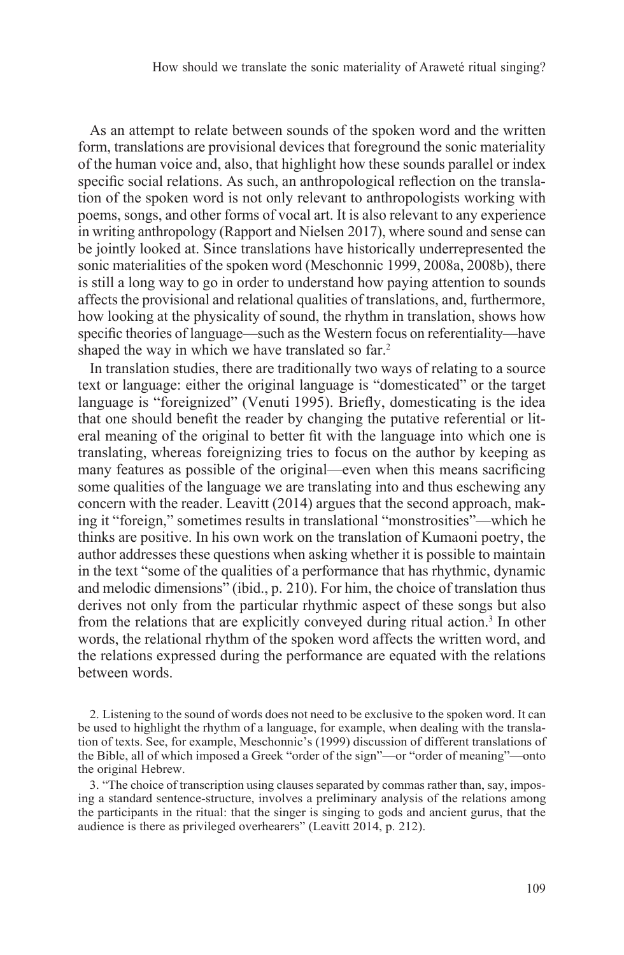As an attempt to relate between sounds of the spoken word and the written form, translations are provisional devices that foreground the sonic materiality of the human voice and, also, that highlight how these sounds parallel or index specific social relations. As such, an anthropological reflection on the translation of the spoken word is not only relevant to anthropologists working with poems, songs, and other forms of vocal art. It is also relevant to any experience in writing anthropology (Rapport and Nielsen 2017), where sound and sense can be jointly looked at. Since translations have historically underrepresented the sonic materialities of the spoken word (Meschonnic 1999, 2008a, 2008b), there is still a long way to go in order to understand how paying attention to sounds affects the provisional and relational qualities of translations, and, furthermore, how looking at the physicality of sound, the rhythm in translation, shows how specific theories of language—such as the Western focus on referentiality—have shaped the way in which we have translated so far.<sup>2</sup>

In translation studies, there are traditionally two ways of relating to a source text or language: either the original language is "domesticated" or the target language is "foreignized" (Venuti 1995). Briefly, domesticating is the idea that one should benefit the reader by changing the putative referential or literal meaning of the original to better fit with the language into which one is translating, whereas foreignizing tries to focus on the author by keeping as many features as possible of the original—even when this means sacrificing some qualities of the language we are translating into and thus eschewing any concern with the reader. Leavitt (2014) argues that the second approach, making it "foreign," sometimes results in translational "monstrosities"—which he thinks are positive. In his own work on the translation of Kumaoni poetry, the author addresses these questions when asking whether it is possible to maintain in the text "some of the qualities of a performance that has rhythmic, dynamic and melodic dimensions" (ibid., p. 210). For him, the choice of translation thus derives not only from the particular rhythmic aspect of these songs but also from the relations that are explicitly conveyed during ritual action.<sup>3</sup> In other words, the relational rhythm of the spoken word affects the written word, and the relations expressed during the performance are equated with the relations between words.

2. Listening to the sound of words does not need to be exclusive to the spoken word. It can be used to highlight the rhythm of a language, for example, when dealing with the translation of texts. See, for example, Meschonnic's (1999) discussion of different translations of the Bible, all of which imposed a Greek "order of the sign"—or "order of meaning"—onto the original Hebrew.

3. "The choice of transcription using clauses separated by commas rather than, say, imposing a standard sentence-structure, involves a preliminary analysis of the relations among the participants in the ritual: that the singer is singing to gods and ancient gurus, that the audience is there as privileged overhearers" (Leavitt 2014, p. 212).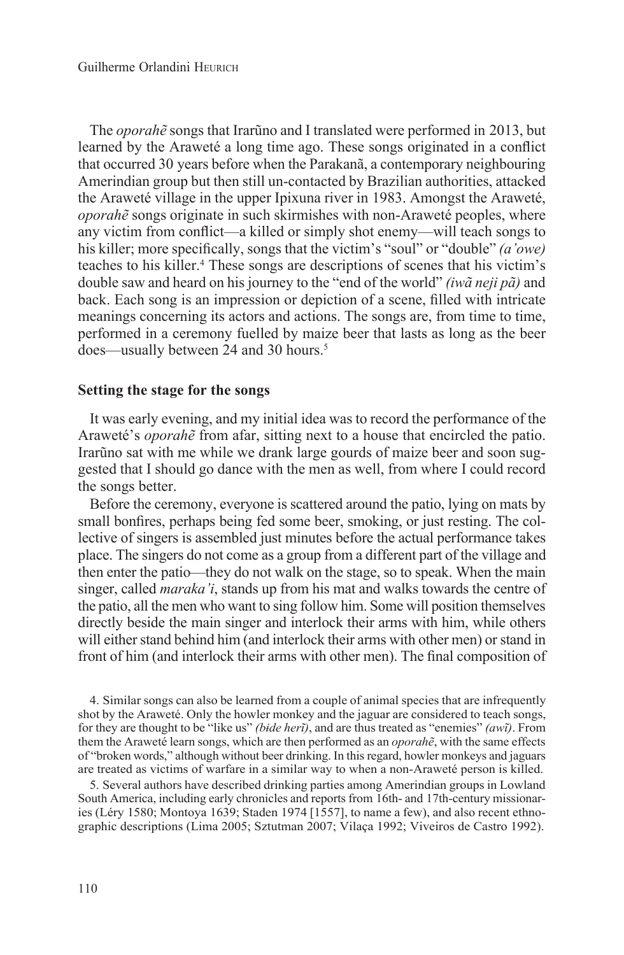The *oporahẽ* songs that Irarũno and I translated were performed in 2013, but learned by the Araweté a long time ago. These songs originated in a conflict that occurred 30 years before when the Parakanã, a contemporary neighbouring Amerindian group but then still un-contacted by Brazilian authorities, attacked the Araweté village in the upper Ipixuna river in 1983. Amongst the Araweté, *oporahẽ* songs originate in such skirmishes with non-Araweté peoples, where any victim from conflict—a killed or simply shot enemy—will teach songs to his killer; more specifically, songs that the victim's "soul" or "double" *(a'owe)* teaches to his killer.<sup>4</sup> These songs are descriptions of scenes that his victim's double saw and heard on his journey to the "end of the world" *(iwã neji pã)* and back. Each song is an impression or depiction of a scene, filled with intricate meanings concerning its actors and actions. The songs are, from time to time, performed in a ceremony fuelled by maize beer that lasts as long as the beer does—usually between 24 and 30 hours.<sup>5</sup>

#### **Setting the stage for the songs**

It was early evening, and my initial idea was to record the performance of the Araweté's *oporahẽ* from afar, sitting next to a house that encircled the patio. Irarũno sat with me while we drank large gourds of maize beer and soon suggested that I should go dance with the men as well, from where I could record the songs better.

Before the ceremony, everyone is scattered around the patio, lying on mats by small bonfires, perhaps being fed some beer, smoking, or just resting. The collective of singers is assembled just minutes before the actual performance takes place. The singers do not come as a group from a different part of the village and then enter the patio—they do not walk on the stage, so to speak. When the main singer, called *maraka'i*, stands up from his mat and walks towards the centre of the patio, all the men who want to sing follow him. Some will position themselves directly beside the main singer and interlock their arms with him, while others will either stand behind him (and interlock their arms with other men) or stand in front of him (and interlock their arms with other men). The final composition of

4. Similar songs can also be learned from a couple of animal species that are infrequently shot by the Araweté. Only the howler monkey and the jaguar are considered to teach songs, for they are thought to be "like us" *(bɨde herĩ)*, and are thus treated as "enemies" *(awĩ)*. From them the Araweté learn songs, which are then performed as an *oporahẽ*, with the same effects of "broken words," although without beer drinking. In this regard, howler monkeys and jaguars are treated as victims of warfare in a similar way to when a non-Araweté person is killed.

5. Several authors have described drinking parties among Amerindian groups in Lowland South America, including early chronicles and reports from 16th- and 17th-century missionaries (Léry 1580; Montoya 1639; Staden 1974 [1557], to name a few), and also recent ethnographic descriptions (Lima 2005; Sztutman 2007; Vilaça 1992; Viveiros de Castro 1992).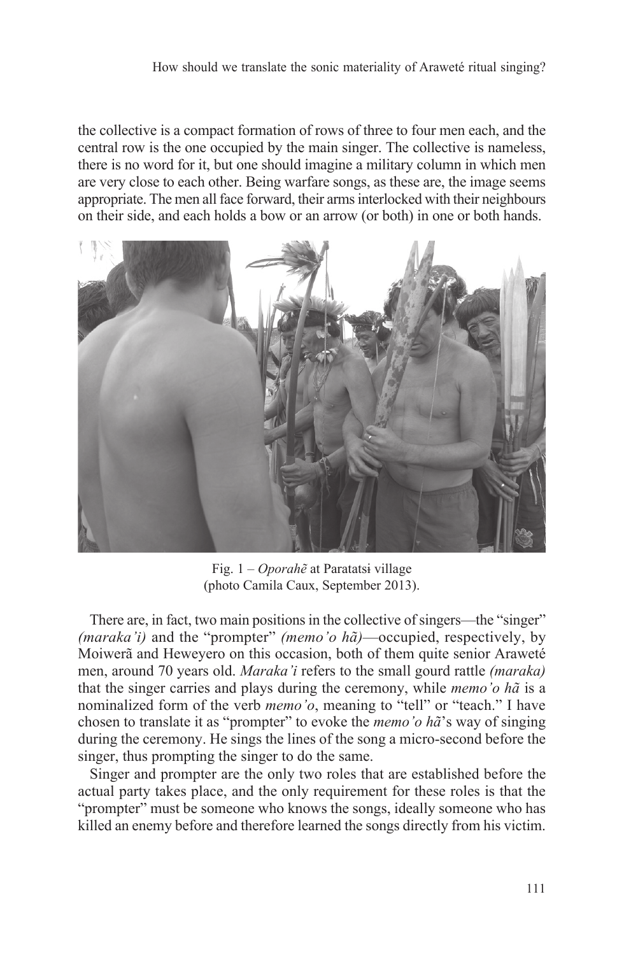the collective is a compact formation of rows of three to four men each, and the central row is the one occupied by the main singer. The collective is nameless, there is no word for it, but one should imagine a military column in which men are very close to each other. Being warfare songs, as these are, the image seems appropriate. The men all face forward, their arms interlocked with their neighbours on their side, and each holds a bow or an arrow (or both) in one or both hands.



Fig. 1 – *Oporahẽ* at Paratatsɨ village (photo Camila Caux, September 2013).

There are, in fact, two main positions in the collective of singers—the "singer" *(maraka'i)* and the "prompter" *(memo'o hã)*—occupied, respectively, by Moiwerã and Heweyero on this occasion, both of them quite senior Araweté men, around 70 years old. *Maraka'i* refers to the small gourd rattle *(maraka)* that the singer carries and plays during the ceremony, while *memo'o hã* is a nominalized form of the verb *memo'o*, meaning to "tell" or "teach." I have chosen to translate it as "prompter" to evoke the *memo'o hã*'s way of singing during the ceremony. He sings the lines of the song a micro-second before the singer, thus prompting the singer to do the same.

Singer and prompter are the only two roles that are established before the actual party takes place, and the only requirement for these roles is that the "prompter" must be someone who knows the songs, ideally someone who has killed an enemy before and therefore learned the songs directly from his victim.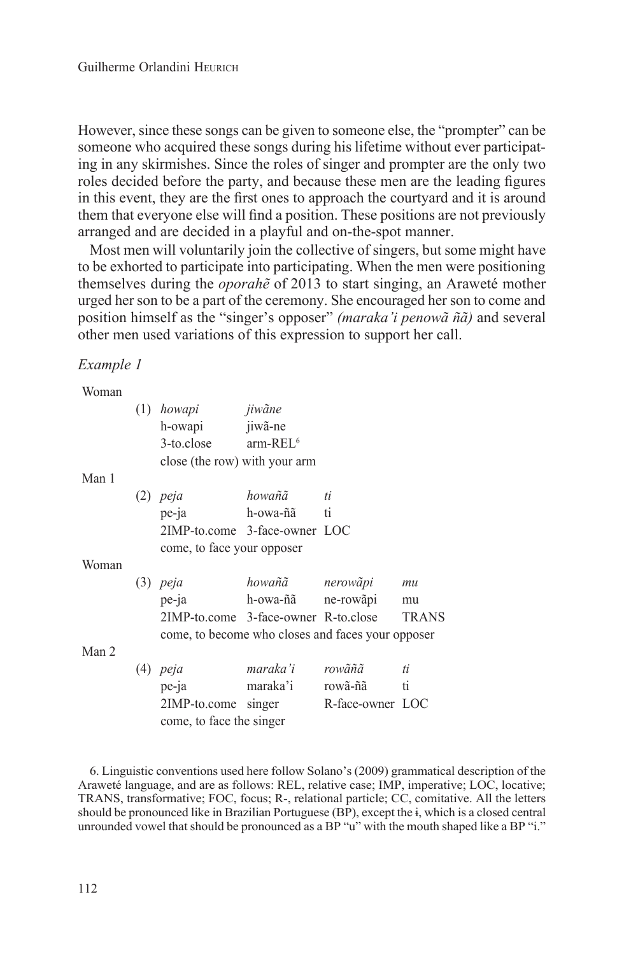However, since these songs can be given to someone else, the "prompter" can be someone who acquired these songs during his lifetime without ever participating in any skirmishes. Since the roles of singer and prompter are the only two roles decided before the party, and because these men are the leading figures in this event, they are the first ones to approach the courtyard and it is around them that everyone else will find a position. These positions are not previously arranged and are decided in a playful and on-the-spot manner.

Most men will voluntarily join the collective of singers, but some might have to be exhorted to participate into participating. When the men were positioning themselves during the *oporahẽ* of 2013 to start singing, an Araweté mother urged her son to be a part of the ceremony. She encouraged her son to come and position himself as the "singer's opposer" *(maraka'i penowã ñã)* and several other men used variations of this expression to support her call.

*Example 1*

| Woman |                                                   |                    |                  |    |
|-------|---------------------------------------------------|--------------------|------------------|----|
|       | (1) howapi jiwãne                                 |                    |                  |    |
|       | h-owapi jiwã-ne                                   |                    |                  |    |
|       | $3$ -to.close $arm$ -REL <sup>6</sup>             |                    |                  |    |
|       | close (the row) with your arm                     |                    |                  |    |
| Man 1 |                                                   |                    |                  |    |
|       | $(2)$ peja                                        | howañã             | ti               |    |
|       | pe-ja                                             | h-owa-ñã ti        |                  |    |
|       | 2IMP-to.come 3-face-owner LOC                     |                    |                  |    |
|       | come, to face your opposer                        |                    |                  |    |
| Woman |                                                   |                    |                  |    |
|       | $(3)$ peja                                        | howañã nerowãpi    |                  | mu |
|       | $pe$ -ja                                          | h-owa-ñã ne-rowãpi |                  | mu |
|       | 2IMP-to.come 3-face-owner R-to.close TRANS        |                    |                  |    |
|       | come, to become who closes and faces your opposer |                    |                  |    |
| Man 2 |                                                   |                    |                  |    |
|       | $(4)$ peja                                        | maraka'i rowãñã    |                  | ti |
|       | pe-ja                                             | maraka'i rowã-ñã   |                  | ti |
|       | 2IMP-to.come singer                               |                    | R-face-owner LOC |    |
|       | come, to face the singer                          |                    |                  |    |

6. Linguistic conventions used here follow Solano's (2009) grammatical description of the Araweté language, and are as follows: REL, relative case; IMP, imperative; LOC, locative; TRANS, transformative; FOC, focus; R-, relational particle; CC, comitative. All the letters should be pronounced like in Brazilian Portuguese (BP), except the ɨ, which is a closed central unrounded vowel that should be pronounced as a BP "u" with the mouth shaped like a BP "i."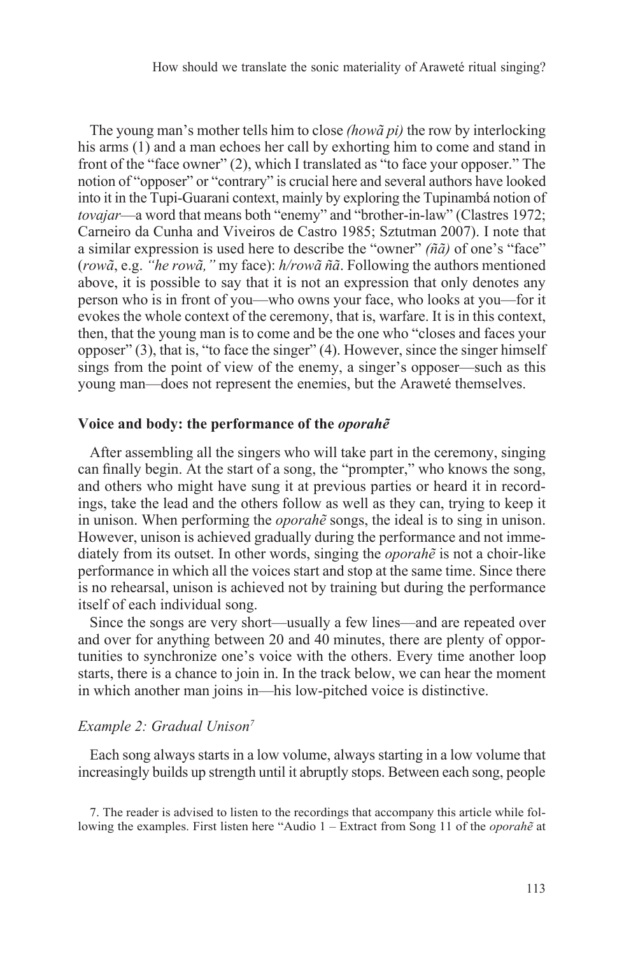How should we translate the sonic materiality of Araweté ritual singing?

The young man's mother tells him to close *(howã pi)* the row by interlocking his arms (1) and a man echoes her call by exhorting him to come and stand in front of the "face owner" (2), which I translated as "to face your opposer." The notion of "opposer" or "contrary" is crucial here and several authors have looked into it in the Tupi-Guarani context, mainly by exploring the Tupinambá notion of *tovajar*—a word that means both "enemy" and "brother-in-law" (Clastres 1972; Carneiro da Cunha and Viveiros de Castro 1985; Sztutman 2007). I note that a similar expression is used here to describe the "owner" *(ñã)* of one's "face" (*rowã*, e.g. *"he rowã,"* my face): *h/rowã ñã*. Following the authors mentioned above, it is possible to say that it is not an expression that only denotes any person who is in front of you—who owns your face, who looks at you—for it evokes the whole context of the ceremony, that is, warfare. It is in this context, then, that the young man is to come and be the one who "closes and faces your opposer" (3), that is, "to face the singer" (4). However, since the singer himself sings from the point of view of the enemy, a singer's opposer—such as this young man—does not represent the enemies, but the Araweté themselves.

#### **Voice and body: the performance of the** *oporahẽ*

After assembling all the singers who will take part in the ceremony, singing can finally begin. At the start of a song, the "prompter," who knows the song, and others who might have sung it at previous parties or heard it in recordings, take the lead and the others follow as well as they can, trying to keep it in unison. When performing the *oporahẽ* songs, the ideal is to sing in unison. However, unison is achieved gradually during the performance and not immediately from its outset. In other words, singing the *oporahẽ* is not a choir-like performance in which all the voices start and stop at the same time. Since there is no rehearsal, unison is achieved not by training but during the performance itself of each individual song.

Since the songs are very short—usually a few lines—and are repeated over and over for anything between 20 and 40 minutes, there are plenty of opportunities to synchronize one's voice with the others. Every time another loop starts, there is a chance to join in. In the track below, we can hear the moment in which another man joins in—his low-pitched voice is distinctive.

#### *Example 2: Gradual Unison7*

Each song always starts in a low volume, always starting in a low volume that increasingly builds up strength until it abruptly stops. Between each song, people

7. The reader is advised to listen to the recordings that accompany this article while following the examples. First listen here "Audio 1 – Extract from Song 11 of the *oporahẽ* at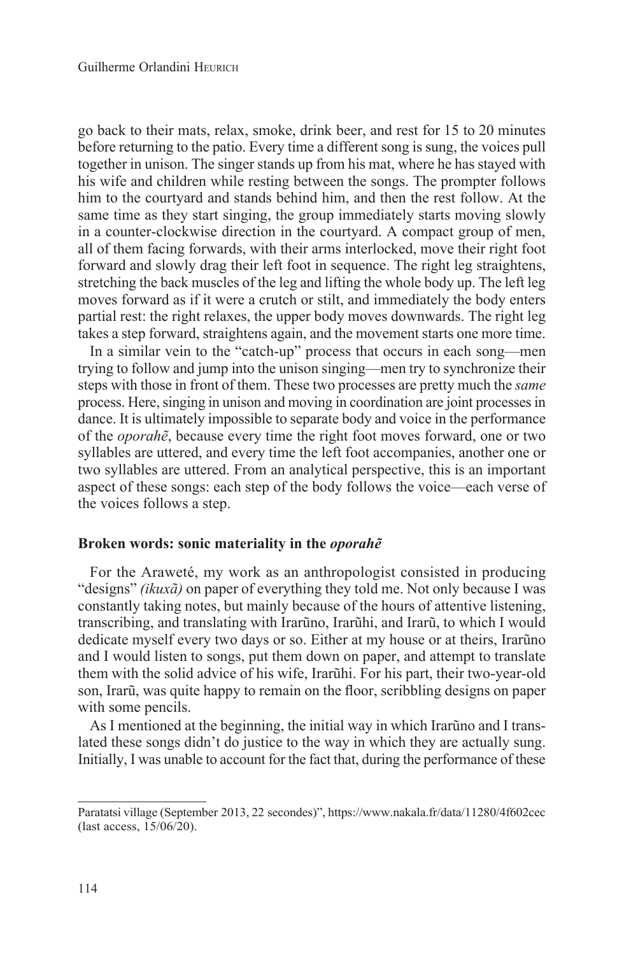go back to their mats, relax, smoke, drink beer, and rest for 15 to 20 minutes before returning to the patio. Every time a different song is sung, the voices pull together in unison. The singer stands up from his mat, where he has stayed with his wife and children while resting between the songs. The prompter follows him to the courtyard and stands behind him, and then the rest follow. At the same time as they start singing, the group immediately starts moving slowly in a counter-clockwise direction in the courtyard. A compact group of men, all of them facing forwards, with their arms interlocked, move their right foot forward and slowly drag their left foot in sequence. The right leg straightens, stretching the back muscles of the leg and lifting the whole body up. The left leg moves forward as if it were a crutch or stilt, and immediately the body enters partial rest: the right relaxes, the upper body moves downwards. The right leg takes a step forward, straightens again, and the movement starts one more time.

In a similar vein to the "catch-up" process that occurs in each song—men trying to follow and jump into the unison singing—men try to synchronize their steps with those in front of them. These two processes are pretty much the *same* process. Here, singing in unison and moving in coordination are joint processes in dance. It is ultimately impossible to separate body and voice in the performance of the *oporahẽ*, because every time the right foot moves forward, one or two syllables are uttered, and every time the left foot accompanies, another one or two syllables are uttered. From an analytical perspective, this is an important aspect of these songs: each step of the body follows the voice—each verse of the voices follows a step.

#### **Broken words: sonic materiality in the** *oporahẽ*

For the Araweté, my work as an anthropologist consisted in producing "designs" *(ikuxã)* on paper of everything they told me. Not only because I was constantly taking notes, but mainly because of the hours of attentive listening, transcribing, and translating with Irarũno, Irarũhi, and Irarũ, to which I would dedicate myself every two days or so. Either at my house or at theirs, Irarũno and I would listen to songs, put them down on paper, and attempt to translate them with the solid advice of his wife, Irarũhi. For his part, their two-year-old son, Irarũ, was quite happy to remain on the floor, scribbling designs on paper with some pencils.

As I mentioned at the beginning, the initial way in which Irarũno and I translated these songs didn't do justice to the way in which they are actually sung. Initially, I was unable to account for the fact that, during the performance of these

Paratatsi village (September 2013, 22 secondes)", https://www.nakala.fr/data/11280/4f602cec (last access, 15/06/20).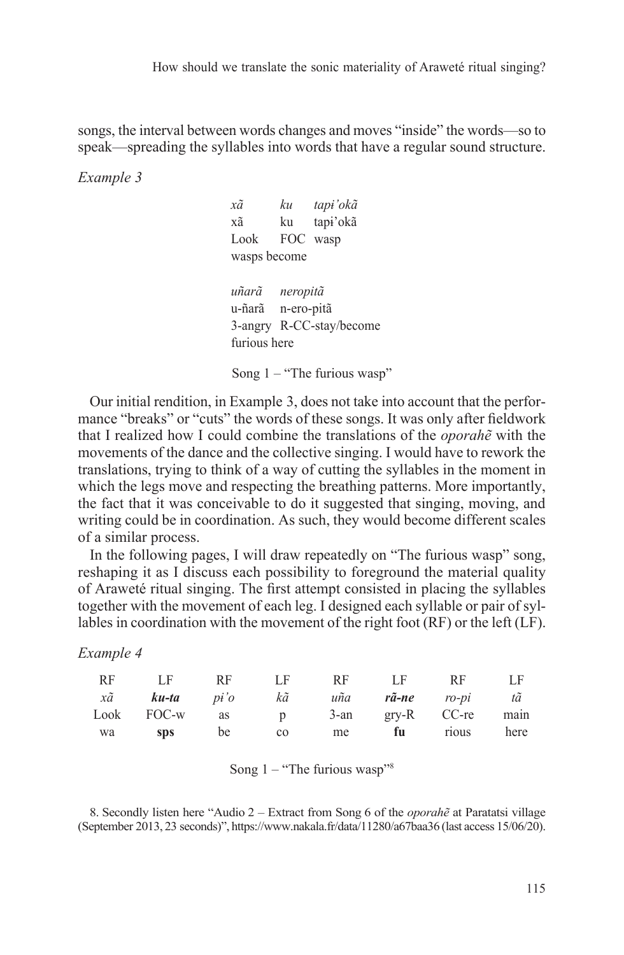How should we translate the sonic materiality of Araweté ritual singing?

songs, the interval between words changes and moves "inside" the words—so to speak—spreading the syllables into words that have a regular sound structure.

*Example 3*

| хã                | ku tap <del>i</del> 'okã      |
|-------------------|-------------------------------|
| хã                | ku tapi'okã                   |
| Look FOC wasp     |                               |
| wasps become      |                               |
|                   |                               |
| uñarã neropitã    |                               |
| u-ñarã n-ero-pitã |                               |
|                   | 3-angry R-CC-stay/become      |
| furious here      |                               |
|                   |                               |
|                   | Song $1 -$ "The furious wasp" |

Our initial rendition, in Example 3, does not take into account that the performance "breaks" or "cuts" the words of these songs. It was only after fieldwork that I realized how I could combine the translations of the *oporahẽ* with the movements of the dance and the collective singing. I would have to rework the translations, trying to think of a way of cutting the syllables in the moment in which the legs move and respecting the breathing patterns. More importantly, the fact that it was conceivable to do it suggested that singing, moving, and writing could be in coordination. As such, they would become different scales of a similar process.

In the following pages, I will draw repeatedly on "The furious wasp" song, reshaping it as I discuss each possibility to foreground the material quality of Araweté ritual singing. The first attempt consisted in placing the syllables together with the movement of each leg. I designed each syllable or pair of syllables in coordination with the movement of the right foot (RF) or the left (LF).

*Example 4*

| <b>RF</b>    | LE                   | RF | – LF –    | RF - | LF RF |                        | LF.  |
|--------------|----------------------|----|-----------|------|-------|------------------------|------|
| $x\tilde{a}$ | <b>ku-ta</b> pi'o kã |    |           |      |       | uña <b>rã-ne</b> ro-pi | tã   |
|              | Look FOC-w as        |    | p         |      |       | 3-an gry-R CC-re main  |      |
| wa           | <b>SDS</b>           | be | $\rm{CO}$ | me   | fu —  | rious                  | here |

| Song 1 |  | "The furious wasp" <sup>8</sup> |  |
|--------|--|---------------------------------|--|
|--------|--|---------------------------------|--|

8. Secondly listen here "Audio 2 – Extract from Song 6 of the *oporahẽ* at Paratatsi village (September 2013, 23 seconds)", https://www.nakala.fr/data/11280/a67baa36 (last access 15/06/20).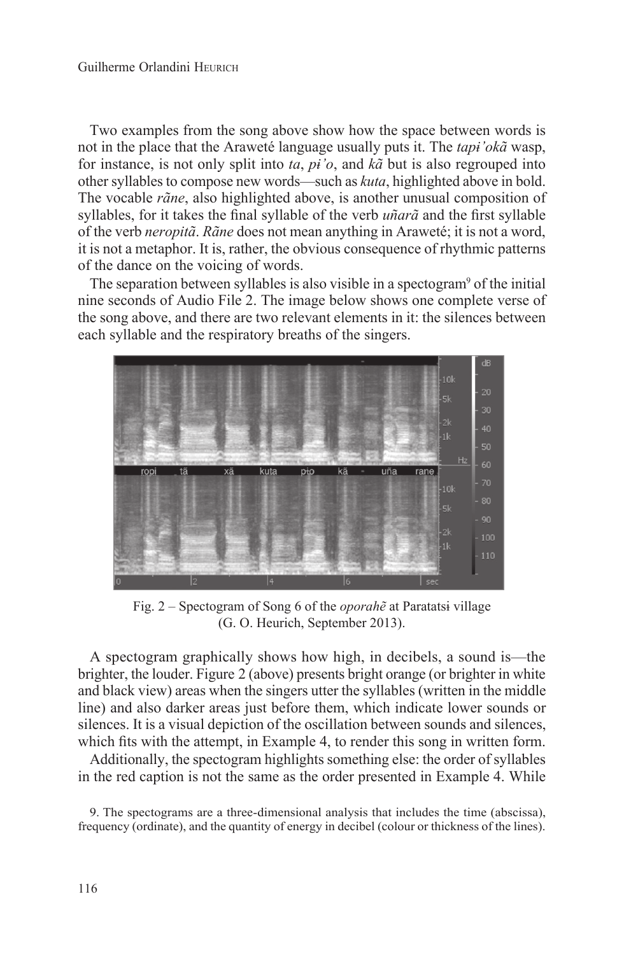Two examples from the song above show how the space between words is not in the place that the Araweté language usually puts it. The *tapɨ'okã* wasp, for instance, is not only split into *ta*, *pɨ'o*, and *kã* but is also regrouped into other syllables to compose new words—such as *kuta*, highlighted above in bold. The vocable *rãne*, also highlighted above, is another unusual composition of syllables, for it takes the final syllable of the verb *uñarã* and the first syllable of the verb *neropitã*. *Rãne* does not mean anything in Araweté; it is not a word, it is not a metaphor. It is, rather, the obvious consequence of rhythmic patterns of the dance on the voicing of words.

The separation between syllables is also visible in a spectogram<sup>9</sup> of the initial nine seconds of Audio File 2. The image below shows one complete verse of the song above, and there are two relevant elements in it: the silences between each syllable and the respiratory breaths of the singers.



Fig. 2 – Spectogram of Song 6 of the *oporahẽ* at Paratatsɨ village (G. O. Heurich, September 2013).

A spectogram graphically shows how high, in decibels, a sound is—the brighter, the louder. Figure 2 (above) presents bright orange (or brighter in white and black view) areas when the singers utter the syllables (written in the middle line) and also darker areas just before them, which indicate lower sounds or silences. It is a visual depiction of the oscillation between sounds and silences, which fits with the attempt, in Example 4, to render this song in written form.

Additionally, the spectogram highlights something else: the order of syllables in the red caption is not the same as the order presented in Example 4. While

9. The spectograms are a three-dimensional analysis that includes the time (abscissa), frequency (ordinate), and the quantity of energy in decibel (colour or thickness of the lines).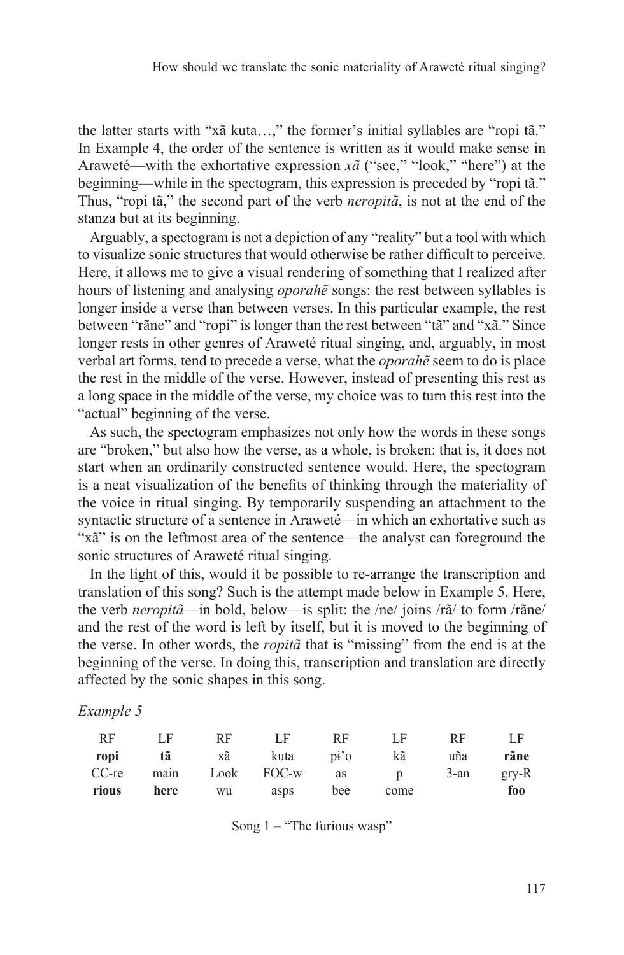the latter starts with "xã kuta…," the former's initial syllables are "ropi tã." In Example 4, the order of the sentence is written as it would make sense in Araweté—with the exhortative expression *xã* ("see," "look," "here") at the beginning—while in the spectogram, this expression is preceded by "ropi tã." Thus, "ropi tã," the second part of the verb *neropitã*, is not at the end of the stanza but at its beginning.

Arguably, a spectogram is not a depiction of any "reality" but a tool with which to visualize sonic structures that would otherwise be rather difficult to perceive. Here, it allows me to give a visual rendering of something that I realized after hours of listening and analysing *oporahẽ* songs: the rest between syllables is longer inside a verse than between verses. In this particular example, the rest between "rãne" and "ropi" is longer than the rest between "tã" and "xã." Since longer rests in other genres of Araweté ritual singing, and, arguably, in most verbal art forms, tend to precede a verse, what the *oporahẽ* seem to do is place the rest in the middle of the verse. However, instead of presenting this rest as a long space in the middle of the verse, my choice was to turn this rest into the "actual" beginning of the verse.

As such, the spectogram emphasizes not only how the words in these songs are "broken," but also how the verse, as a whole, is broken: that is, it does not start when an ordinarily constructed sentence would. Here, the spectogram is a neat visualization of the benefits of thinking through the materiality of the voice in ritual singing. By temporarily suspending an attachment to the syntactic structure of a sentence in Araweté—in which an exhortative such as "xã" is on the leftmost area of the sentence—the analyst can foreground the sonic structures of Araweté ritual singing.

In the light of this, would it be possible to re-arrange the transcription and translation of this song? Such is the attempt made below in Example 5. Here, the verb *neropitã*—in bold, below—is split: the /ne/ joins /rã/ to form /rãne/ and the rest of the word is left by itself, but it is moved to the beginning of the verse. In other words, the *ropitã* that is "missing" from the end is at the beginning of the verse. In doing this, transcription and translation are directly affected by the sonic shapes in this song.

#### *Example 5*

| RF      | ΙF              | RF | LF   | RF                 | ΙF   | RF   | LF      |
|---------|-----------------|----|------|--------------------|------|------|---------|
| ropi    | tã              | xã | kuta | $pi'$ <sup>2</sup> | kã   | uña  | rãne    |
| $CC-re$ | main Look FOC-w |    |      | as p               |      | 3-an | $grv-R$ |
| rious   | here            | wu | asps | bee                | come |      | foo     |

Song  $1 -$  "The furious wasp"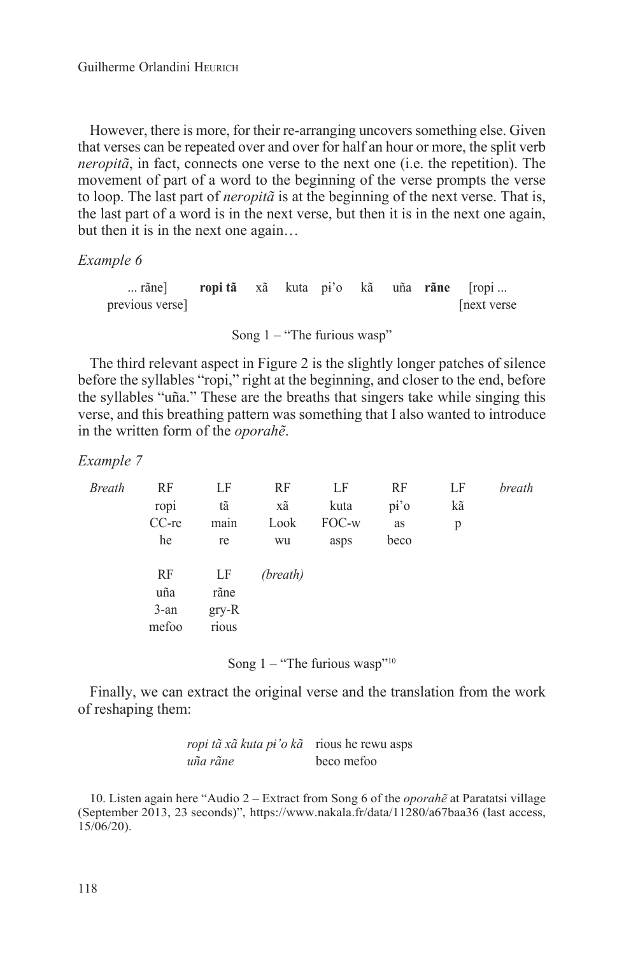However, there is more, for their re-arranging uncovers something else. Given that verses can be repeated over and over for half an hour or more, the split verb *neropitã*, in fact, connects one verse to the next one (i.e. the repetition). The movement of part of a word to the beginning of the verse prompts the verse to loop. The last part of *neropitã* is at the beginning of the next verse. That is, the last part of a word is in the next verse, but then it is in the next one again, but then it is in the next one again...

#### *Example 6*

| rãne] ropitã xã kuta pi'o kã uña rãne [ropi |  |  |  |            |
|---------------------------------------------|--|--|--|------------|
| previous verse                              |  |  |  | next verse |
|                                             |  |  |  |            |

Song  $1 -$  "The furious wasp"

The third relevant aspect in Figure 2 is the slightly longer patches of silence before the syllables "ropi," right at the beginning, and closer to the end, before the syllables "uña." These are the breaths that singers take while singing this verse, and this breathing pattern was something that I also wanted to introduce in the written form of the *oporahẽ*.

*Example 7*

| Breath | RF      | LF      | RF       | LF    | RF   | LF | breath |
|--------|---------|---------|----------|-------|------|----|--------|
|        | ropi    | tã      | хã       | kuta  | pi'  | kã |        |
|        | CC-re   | main    | Look     | FOC-w | as   | p  |        |
|        | he      | re      | wu       | asps  | beco |    |        |
|        | RF      | LF      | (breath) |       |      |    |        |
|        | uña     | rãne    |          |       |      |    |        |
|        | $3$ -an | $gry-R$ |          |       |      |    |        |
|        | mefoo   | rious   |          |       |      |    |        |
|        |         |         |          |       |      |    |        |

Song  $1 -$  "The furious wasp"<sup>10</sup>

Finally, we can extract the original verse and the translation from the work of reshaping them:

| ropi tã xã kuta pi'o kã rious he rewu asps |            |
|--------------------------------------------|------------|
| uña rãne                                   | beco mefoo |

10. Listen again here "Audio 2 – Extract from Song 6 of the *oporahẽ* at Paratatsi village (September 2013, 23 seconds)", https://www.nakala.fr/data/11280/a67baa36 (last access, 15/06/20).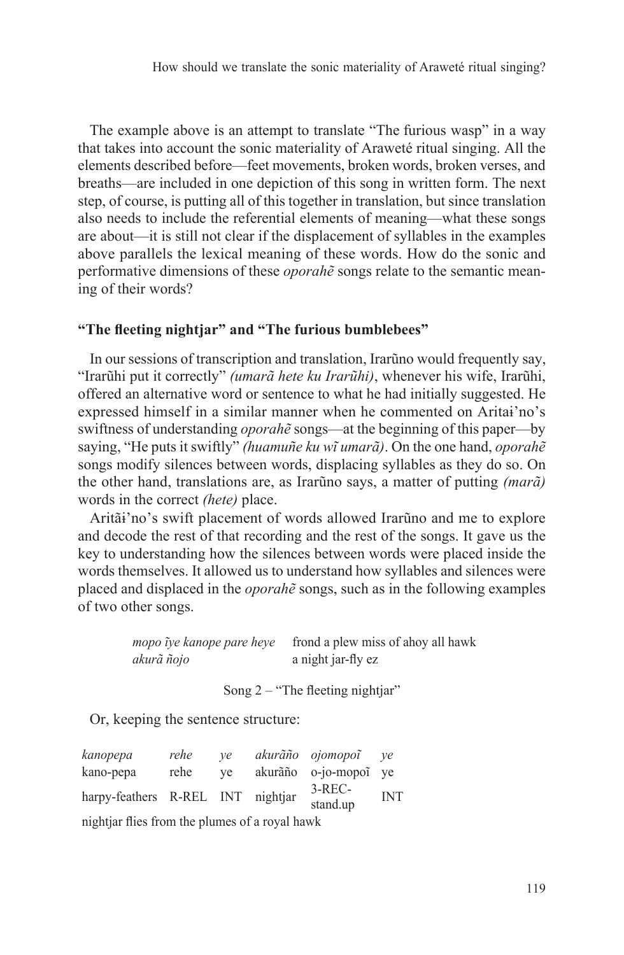The example above is an attempt to translate "The furious wasp" in a way that takes into account the sonic materiality of Araweté ritual singing. All the elements described before—feet movements, broken words, broken verses, and breaths—are included in one depiction of this song in written form. The next step, of course, is putting all of this together in translation, but since translation also needs to include the referential elements of meaning—what these songs are about—it is still not clear if the displacement of syllables in the examples above parallels the lexical meaning of these words. How do the sonic and performative dimensions of these *oporahẽ* songs relate to the semantic meaning of their words?

#### **"The fleeting nightjar" and "The furious bumblebees"**

In our sessions of transcription and translation, Irarũno would frequently say, "Irarũhi put it correctly" *(umarã hete ku Irarũhi)*, whenever his wife, Irarũhi, offered an alternative word or sentence to what he had initially suggested. He expressed himself in a similar manner when he commented on Aritaɨ'no's swiftness of understanding *oporahẽ* songs—at the beginning of this paper—by saying, "He puts it swiftly" *(huamuñe ku wĩ umarã)*. On the one hand, *oporahẽ* songs modify silences between words, displacing syllables as they do so. On the other hand, translations are, as Irarũno says, a matter of putting *(marã)* words in the correct *(hete)* place.

Aritãɨ'no's swift placement of words allowed Irarũno and me to explore and decode the rest of that recording and the rest of the songs. It gave us the key to understanding how the silences between words were placed inside the words themselves. It allowed us to understand how syllables and silences were placed and displaced in the *oporahẽ* songs, such as in the following examples of two other songs.

> *mopo ĩye kanope pare heye* frond a plew miss of ahoy all hawk *akurã ñojo* a night jar-fly ez

> > Song  $2 -$  "The fleeting nightjar"

Or, keeping the sentence structure:

| kanopepa                                       | rehe | ve |  | akurãño ojomopoĩ     | ve         |  |  |
|------------------------------------------------|------|----|--|----------------------|------------|--|--|
| kano-pepa                                      | rehe | ve |  | akurãño o-jo-mopoĩ   | ve         |  |  |
| harpy-feathers R-REL INT nightjar              |      |    |  | $3-REC-$<br>stand.up | <b>INT</b> |  |  |
| nightjar flies from the plumes of a royal hawk |      |    |  |                      |            |  |  |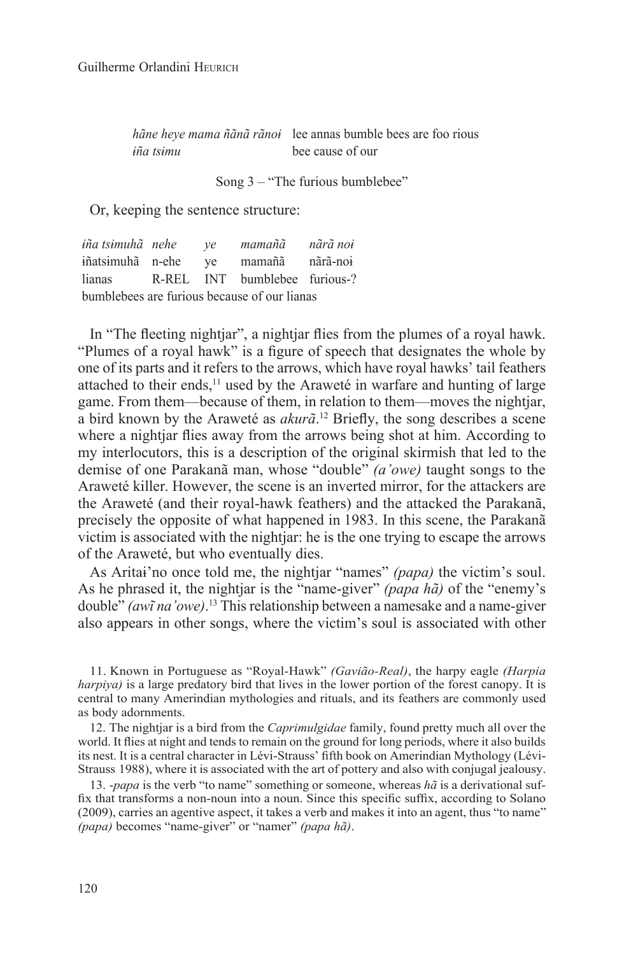*hãne heye mama ñãnã rãnoɨ* lee annas bumble bees are foo rious *ɨña tsɨmu* bee cause of our

Song 3 – "The furious bumblebee"

Or, keeping the sentence structure:

*ɨña tsɨmuhã nehe ye mamañã nãrã noɨ* ɨñatsɨmuhã n-ehe ye mamañã nãrã-noɨ lianas R-REL INT bumblebee furious-? bumblebees are furious because of our lianas

In "The fleeting nightjar", a nightjar flies from the plumes of a royal hawk. "Plumes of a royal hawk" is a figure of speech that designates the whole by one of its parts and it refers to the arrows, which have royal hawks' tail feathers attached to their ends,<sup>11</sup> used by the Araweté in warfare and hunting of large game. From them—because of them, in relation to them—moves the nightjar, a bird known by the Araweté as *akurã*. 12 Briefly, the song describes a scene where a nightjar flies away from the arrows being shot at him. According to my interlocutors, this is a description of the original skirmish that led to the demise of one Parakanã man, whose "double" *(a'owe)* taught songs to the Araweté killer. However, the scene is an inverted mirror, for the attackers are the Araweté (and their royal-hawk feathers) and the attacked the Parakanã, precisely the opposite of what happened in 1983. In this scene, the Parakanã victim is associated with the nightjar: he is the one trying to escape the arrows of the Araweté, but who eventually dies.

As Aritaɨ'no once told me, the nightjar "names" *(papa)* the victim's soul. As he phrased it, the nightjar is the "name-giver" *(papa hã)* of the "enemy's double" *(awĩ na'owe)*. <sup>13</sup> This relationship between a namesake and a name-giver also appears in other songs, where the victim's soul is associated with other

11. Known in Portuguese as "Royal-Hawk" *(Gavião-Real)*, the harpy eagle *(Harpia harpiya)* is a large predatory bird that lives in the lower portion of the forest canopy. It is central to many Amerindian mythologies and rituals, and its feathers are commonly used as body adornments.

12. The nightjar is a bird from the *Caprimulgidae* family, found pretty much all over the world. It flies at night and tends to remain on the ground for long periods, where it also builds its nest. It is a central character in Lévi-Strauss' fifth book on Amerindian Mythology (Lévi-Strauss 1988), where it is associated with the art of pottery and also with conjugal jealousy.

13. -*papa* is the verb "to name" something or someone, whereas *hã* is a derivational suffix that transforms a non-noun into a noun. Since this specific suffix, according to Solano (2009), carries an agentive aspect, it takes a verb and makes it into an agent, thus "to name" *(papa)* becomes "name-giver" or "namer" *(papa hã)*.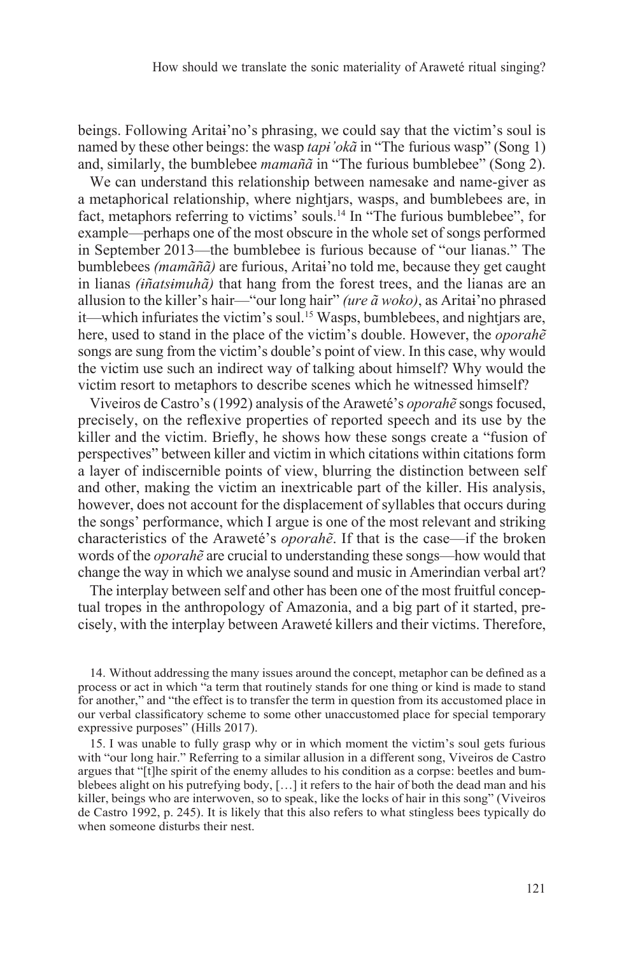beings. Following Aritaɨ'no's phrasing, we could say that the victim's soul is named by these other beings: the wasp *tapɨ'okã* in "The furious wasp" (Song 1) and, similarly, the bumblebee *mamañã* in "The furious bumblebee" (Song 2).

We can understand this relationship between namesake and name-giver as a metaphorical relationship, where nightjars, wasps, and bumblebees are, in fact, metaphors referring to victims' souls.14 In "The furious bumblebee", for example—perhaps one of the most obscure in the whole set of songs performed in September 2013—the bumblebee is furious because of "our lianas." The bumblebees *(mamãñã)* are furious, Aritaɨ'no told me, because they get caught in lianas *(ɨñatsɨmuhã)* that hang from the forest trees, and the lianas are an allusion to the killer's hair—"our long hair" *(ure ã woko)*, as Aritaɨ'no phrased it—which infuriates the victim's soul.<sup>15</sup> Wasps, bumblebees, and nightjars are, here, used to stand in the place of the victim's double. However, the *oporahẽ* songs are sung from the victim's double's point of view. In this case, why would the victim use such an indirect way of talking about himself? Why would the victim resort to metaphors to describe scenes which he witnessed himself?

Viveiros de Castro's (1992) analysis of the Araweté's *oporahẽ* songs focused, precisely, on the reflexive properties of reported speech and its use by the killer and the victim. Briefly, he shows how these songs create a "fusion of perspectives" between killer and victim in which citations within citations form a layer of indiscernible points of view, blurring the distinction between self and other, making the victim an inextricable part of the killer. His analysis, however, does not account for the displacement of syllables that occurs during the songs' performance, which I argue is one of the most relevant and striking characteristics of the Araweté's *oporahẽ*. If that is the case—if the broken words of the *oporahẽ* are crucial to understanding these songs—how would that change the way in which we analyse sound and music in Amerindian verbal art?

The interplay between self and other has been one of the most fruitful conceptual tropes in the anthropology of Amazonia, and a big part of it started, precisely, with the interplay between Araweté killers and their victims. Therefore,

14. Without addressing the many issues around the concept, metaphor can be defined as a process or act in which "a term that routinely stands for one thing or kind is made to stand for another," and "the effect is to transfer the term in question from its accustomed place in our verbal classificatory scheme to some other unaccustomed place for special temporary expressive purposes" (Hills 2017).

15. I was unable to fully grasp why or in which moment the victim's soul gets furious with "our long hair." Referring to a similar allusion in a different song, Viveiros de Castro argues that "[t]he spirit of the enemy alludes to his condition as a corpse: beetles and bumblebees alight on his putrefying body, […] it refers to the hair of both the dead man and his killer, beings who are interwoven, so to speak, like the locks of hair in this song" (Viveiros de Castro 1992, p. 245). It is likely that this also refers to what stingless bees typically do when someone disturbs their nest.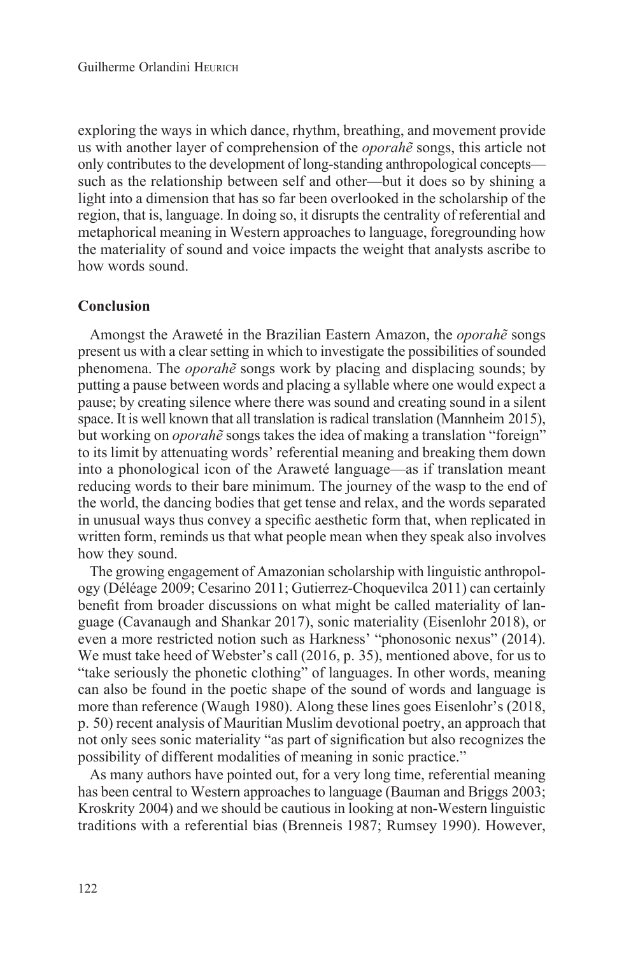exploring the ways in which dance, rhythm, breathing, and movement provide us with another layer of comprehension of the *oporahẽ* songs, this article not only contributes to the development of long-standing anthropological concepts such as the relationship between self and other—but it does so by shining a light into a dimension that has so far been overlooked in the scholarship of the region, that is, language. In doing so, it disrupts the centrality of referential and metaphorical meaning in Western approaches to language, foregrounding how the materiality of sound and voice impacts the weight that analysts ascribe to how words sound.

### **Conclusion**

Amongst the Araweté in the Brazilian Eastern Amazon, the *oporahẽ* songs present us with a clear setting in which to investigate the possibilities of sounded phenomena. The *oporahẽ* songs work by placing and displacing sounds; by putting a pause between words and placing a syllable where one would expect a pause; by creating silence where there was sound and creating sound in a silent space. It is well known that all translation is radical translation (Mannheim 2015), but working on *oporahẽ* songs takes the idea of making a translation "foreign" to its limit by attenuating words' referential meaning and breaking them down into a phonological icon of the Araweté language—as if translation meant reducing words to their bare minimum. The journey of the wasp to the end of the world, the dancing bodies that get tense and relax, and the words separated in unusual ways thus convey a specific aesthetic form that, when replicated in written form, reminds us that what people mean when they speak also involves how they sound.

The growing engagement of Amazonian scholarship with linguistic anthropology (Déléage 2009; Cesarino 2011; Gutierrez-Choquevilca 2011) can certainly benefit from broader discussions on what might be called materiality of language (Cavanaugh and Shankar 2017), sonic materiality (Eisenlohr 2018), or even a more restricted notion such as Harkness' "phonosonic nexus" (2014). We must take heed of Webster's call (2016, p. 35), mentioned above, for us to "take seriously the phonetic clothing" of languages. In other words, meaning can also be found in the poetic shape of the sound of words and language is more than reference (Waugh 1980). Along these lines goes Eisenlohr's (2018, p. 50) recent analysis of Mauritian Muslim devotional poetry, an approach that not only sees sonic materiality "as part of signification but also recognizes the possibility of different modalities of meaning in sonic practice."

As many authors have pointed out, for a very long time, referential meaning has been central to Western approaches to language (Bauman and Briggs 2003; Kroskrity 2004) and we should be cautious in looking at non-Western linguistic traditions with a referential bias (Brenneis 1987; Rumsey 1990). However,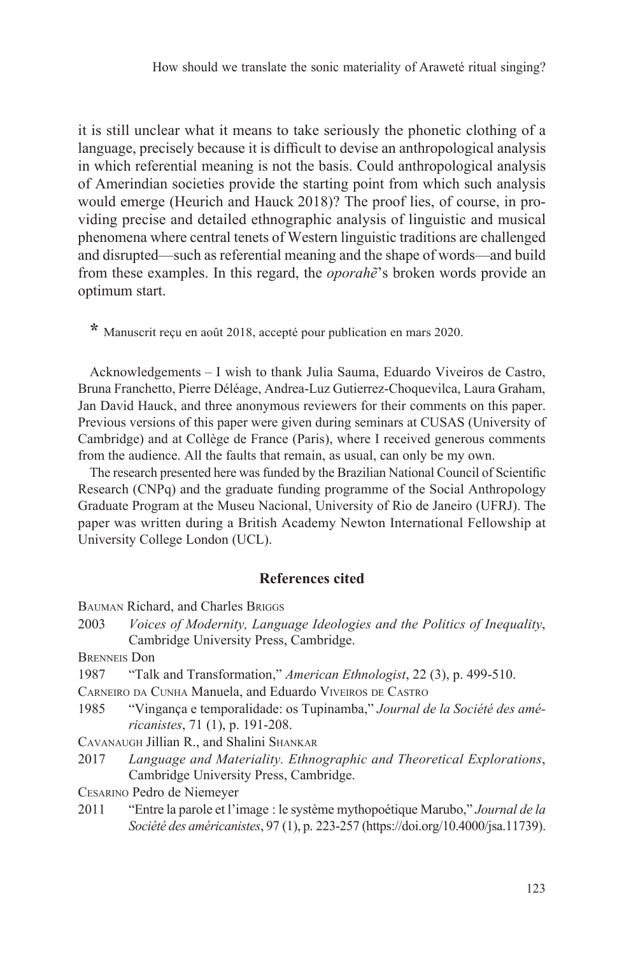it is still unclear what it means to take seriously the phonetic clothing of a language, precisely because it is difficult to devise an anthropological analysis in which referential meaning is not the basis. Could anthropological analysis of Amerindian societies provide the starting point from which such analysis would emerge (Heurich and Hauck 2018)? The proof lies, of course, in providing precise and detailed ethnographic analysis of linguistic and musical phenomena where central tenets of Western linguistic traditions are challenged and disrupted—such as referential meaning and the shape of words—and build from these examples. In this regard, the *oporahẽ*'s broken words provide an optimum start.

**\*** Manuscrit reçu en août 2018, accepté pour publication en mars 2020.

Acknowledgements – I wish to thank Julia Sauma, Eduardo Viveiros de Castro, Bruna Franchetto, Pierre Déléage, Andrea-Luz Gutierrez-Choquevilca, Laura Graham, Jan David Hauck, and three anonymous reviewers for their comments on this paper. Previous versions of this paper were given during seminars at CUSAS (University of Cambridge) and at Collège de France (Paris), where I received generous comments from the audience. All the faults that remain, as usual, can only be my own.

The research presented here was funded by the Brazilian National Council of Scientific Research (CNPq) and the graduate funding programme of the Social Anthropology Graduate Program at the Museu Nacional, University of Rio de Janeiro (UFRJ). The paper was written during a British Academy Newton International Fellowship at University College London (UCL).

### **References cited**

- Bauman Richard, and Charles Briggs
- 2003 *Voices of Modernity, Language Ideologies and the Politics of Inequality*, Cambridge University Press, Cambridge.

Brenneis Don

- 1987 "Talk and Transformation," *American Ethnologist*, 22 (3), p. 499-510.
- Carneiro da Cunha Manuela, and Eduardo Viveiros de Castro
- 1985 "Vingança e temporalidade: os Tupinamba," *Journal de la Société des américanistes*, 71 (1), p. 191-208.

Cavanaugh Jillian R., and Shalini Shankar

2017 *Language and Materiality. Ethnographic and Theoretical Explorations*, Cambridge University Press, Cambridge.

- Cesarino Pedro de Niemeyer
- 2011 "Entre la parole et l'image : le système mythopoétique Marubo," *Journal de la Société des américanistes*, 97 (1), p. 223-257 (https://doi.org/10.4000/jsa.11739).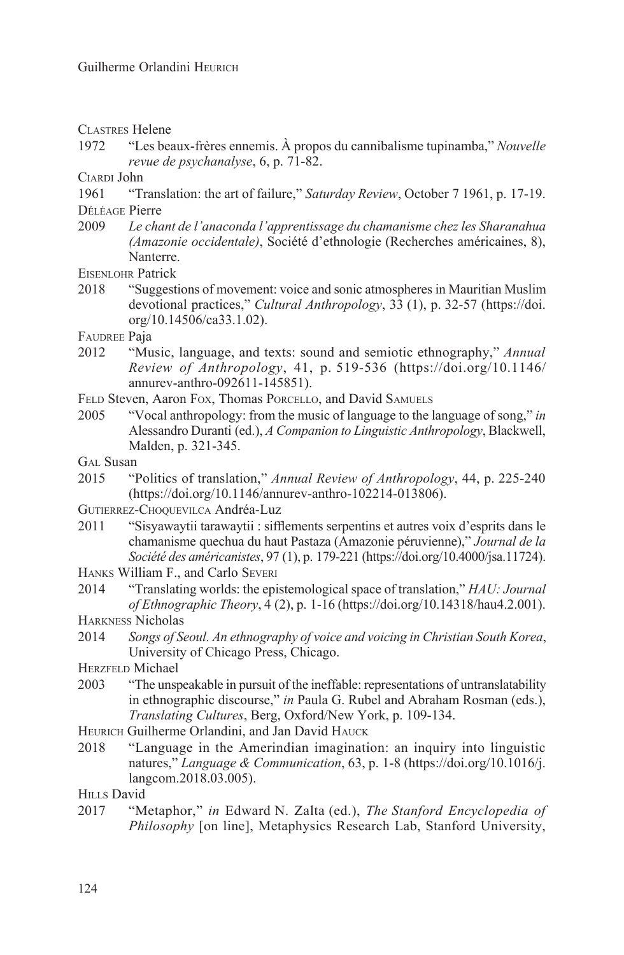Clastres Helene

1972 "Les beaux-frères ennemis. À propos du cannibalisme tupinamba," *Nouvelle revue de psychanalyse*, 6, p. 71-82.

CIARDI John<br>1961 **T** 

"Translation: the art of failure," *Saturday Review*, October 7 1961, p. 17-19. Déléage Pierre

2009 *Le chant de l'anaconda l'apprentissage du chamanisme chez les Sharanahua (Amazonie occidentale)*, Société d'ethnologie (Recherches américaines, 8), Nanterre.

Eisenlohr Patrick

2018 "Suggestions of movement: voice and sonic atmospheres in Mauritian Muslim devotional practices," *Cultural Anthropology*, 33 (1), p. 32-57 (https://doi. org/10.14506/ca33.1.02).

FAUDREE Paja

- 2012 "Music, language, and texts: sound and semiotic ethnography," *Annual Review of Anthropology*, 41, p. 519-536 (https://doi.org/10.1146/ annurev-anthro-092611-145851).
- FELD Steven, Aaron Fox, Thomas Porcello, and David SAMUELS
- 2005 "Vocal anthropology: from the music of language to the language of song," *in* Alessandro Duranti (ed.), *A Companion to Linguistic Anthropology*, Blackwell, Malden, p. 321-345.
- GAL Susan
- 2015 "Politics of translation," *Annual Review of Anthropology*, 44, p. 225-240 (https://doi.org/10.1146/annurev-anthro-102214-013806).
- Gutierrez-Choquevilca Andréa-Luz
- 2011 "Sisyawaytii tarawaytii : sifflements serpentins et autres voix d'esprits dans le chamanisme quechua du haut Pastaza (Amazonie péruvienne)," *Journal de la Société des américanistes*, 97 (1), p. 179-221 (https://doi.org/10.4000/jsa.11724).
- Hanks William F., and Carlo Severi
- 2014 "Translating worlds: the epistemological space of translation," *HAU: Journal of Ethnographic Theory*, 4 (2), p. 1-16 (https://doi.org/10.14318/hau4.2.001).
- Harkness Nicholas
- 2014 *Songs of Seoul. An ethnography of voice and voicing in Christian South Korea*, University of Chicago Press, Chicago.

HERZFELD Michael

- 2003 "The unspeakable in pursuit of the ineffable: representations of untranslatability in ethnographic discourse," *in* Paula G. Rubel and Abraham Rosman (eds.), *Translating Cultures*, Berg, Oxford/New York, p. 109-134.
- HEURICH Guilherme Orlandini, and Jan David HAUCK
- 2018 "Language in the Amerindian imagination: an inquiry into linguistic natures," *Language & Communication*, 63, p. 1-8 (https://doi.org/10.1016/j. langcom.2018.03.005).

HILLS David

2017 "Metaphor," *in* Edward N. Zalta (ed.), *The Stanford Encyclopedia of Philosophy* [on line], Metaphysics Research Lab, Stanford University,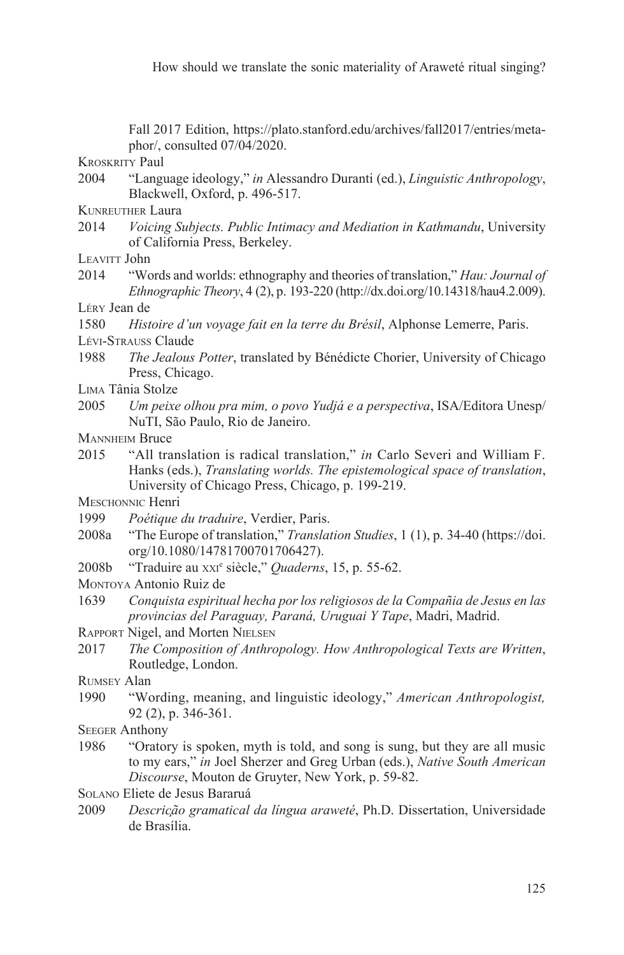Fall 2017 Edition, https://plato.stanford.edu/archives/fall2017/entries/metaphor/, consulted 07/04/2020.

Kroskrity Paul

- 2004 "Language ideology," *in* Alessandro Duranti (ed.), *Linguistic Anthropology*, Blackwell, Oxford, p. 496-517.
- Kunreuther Laura
- 2014 *Voicing Subjects. Public Intimacy and Mediation in Kathmandu*, University of California Press, Berkeley.

LEAVITT John

2014 "Words and worlds: ethnography and theories of translation," *Hau: Journal of Ethnographic Theory*, 4 (2), p. 193-220 (http://dx.doi.org/10.14318/hau4.2.009).

Léry Jean de

1580 *Histoire d'un voyage fait en la terre du Brésil*, Alphonse Lemerre, Paris. Lévi-Strauss Claude

- 1988 *The Jealous Potter*, translated by Bénédicte Chorier, University of Chicago Press, Chicago.
- L<sub>IMA</sub> Tânia Stolze
- 2005 *Um peixe olhou pra mim, o povo Yudjá e a perspectiva*, ISA/Editora Unesp/ NuTI, São Paulo, Rio de Janeiro.
- **MANNHEIM Bruce**
- 2015 "All translation is radical translation," *in* Carlo Severi and William F. Hanks (eds.), *Translating worlds. The epistemological space of translation*, University of Chicago Press, Chicago, p. 199-219.

MESCHONNIC Henri

- 1999 *Poétique du traduire*, Verdier, Paris.
- 2008a "The Europe of translation," *Translation Studies*, 1 (1), p. 34-40 (https://doi. org/10.1080/14781700701706427).
- 2008b "Traduire au xxi<sup>e</sup> siècle," *Quaderns*, 15, p. 55-62.

Montoya Antonio Ruiz de

1639 *Conquista espiritual hecha por los religiosos de la Compañia de Jesus en las provincias del Paraguay, Paraná, Uruguai Y Tape*, Madri, Madrid.

Rapport Nigel, and Morten Nielsen

2017 *The Composition of Anthropology. How Anthropological Texts are Written*, Routledge, London.

Rumsey Alan

1990 "Wording, meaning, and linguistic ideology," *American Anthropologist,* 92 (2), p. 346-361.

**SEEGER Anthony** 

1986 "Oratory is spoken, myth is told, and song is sung, but they are all music to my ears," *in* Joel Sherzer and Greg Urban (eds.), *Native South American Discourse*, Mouton de Gruyter, New York, p. 59-82.

Solano Eliete de Jesus Bararuá

2009 *Descrição gramatical da língua araweté*, Ph.D. Dissertation, Universidade de Brasília.